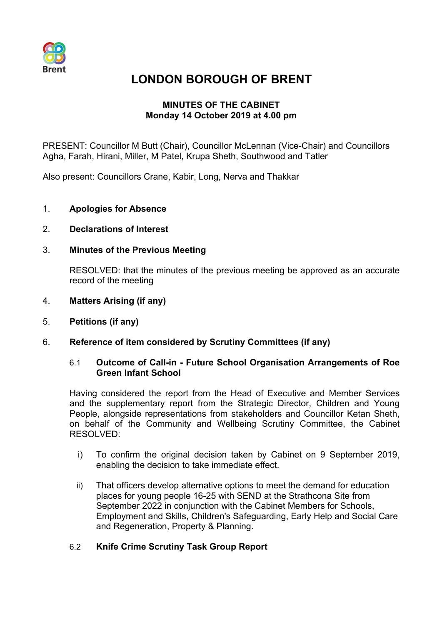

# **LONDON BOROUGH OF BRENT**

# **MINUTES OF THE CABINET Monday 14 October 2019 at 4.00 pm**

PRESENT: Councillor M Butt (Chair), Councillor McLennan (Vice-Chair) and Councillors Agha, Farah, Hirani, Miller, M Patel, Krupa Sheth, Southwood and Tatler

Also present: Councillors Crane, Kabir, Long, Nerva and Thakkar

- 1. **Apologies for Absence**
- 2. **Declarations of Interest**
- 3. **Minutes of the Previous Meeting**

RESOLVED: that the minutes of the previous meeting be approved as an accurate record of the meeting

- 4. **Matters Arising (if any)**
- 5. **Petitions (if any)**
- 6. **Reference of item considered by Scrutiny Committees (if any)**

#### 6.1 **Outcome of Call-in - Future School Organisation Arrangements of Roe Green Infant School**

Having considered the report from the Head of Executive and Member Services and the supplementary report from the Strategic Director, Children and Young People, alongside representations from stakeholders and Councillor Ketan Sheth, on behalf of the Community and Wellbeing Scrutiny Committee, the Cabinet RESOLVED:

- i) To confirm the original decision taken by Cabinet on 9 September 2019, enabling the decision to take immediate effect.
- ii) That officers develop alternative options to meet the demand for education places for young people 16-25 with SEND at the Strathcona Site from September 2022 in conjunction with the Cabinet Members for Schools, Employment and Skills, Children's Safeguarding, Early Help and Social Care and Regeneration, Property & Planning.

## 6.2 **Knife Crime Scrutiny Task Group Report**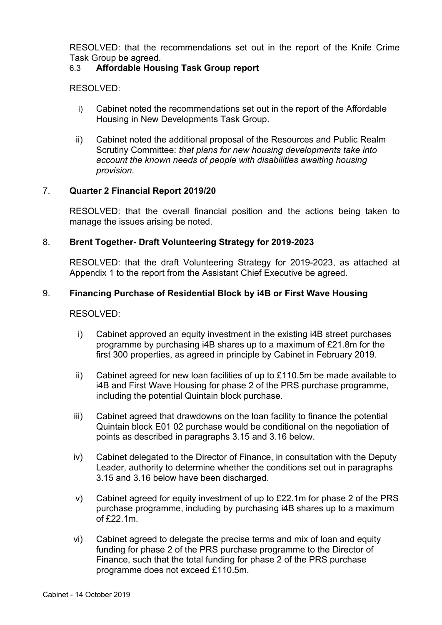RESOLVED: that the recommendations set out in the report of the Knife Crime Task Group be agreed.

# 6.3 **Affordable Housing Task Group report**

RESOLVED:

- i) Cabinet noted the recommendations set out in the report of the Affordable Housing in New Developments Task Group.
- ii) Cabinet noted the additional proposal of the Resources and Public Realm Scrutiny Committee: *that plans for new housing developments take into account the known needs of people with disabilities awaiting housing provision*.

# 7. **Quarter 2 Financial Report 2019/20**

RESOLVED: that the overall financial position and the actions being taken to manage the issues arising be noted.

# 8. **Brent Together- Draft Volunteering Strategy for 2019-2023**

RESOLVED: that the draft Volunteering Strategy for 2019-2023, as attached at Appendix 1 to the report from the Assistant Chief Executive be agreed.

# 9. **Financing Purchase of Residential Block by i4B or First Wave Housing**

## RESOLVED:

- i) Cabinet approved an equity investment in the existing i4B street purchases programme by purchasing i4B shares up to a maximum of £21.8m for the first 300 properties, as agreed in principle by Cabinet in February 2019.
- ii) Cabinet agreed for new loan facilities of up to  $£110.5m$  be made available to i4B and First Wave Housing for phase 2 of the PRS purchase programme, including the potential Quintain block purchase.
- iii) Cabinet agreed that drawdowns on the loan facility to finance the potential Quintain block E01 02 purchase would be conditional on the negotiation of points as described in paragraphs 3.15 and 3.16 below.
- iv) Cabinet delegated to the Director of Finance, in consultation with the Deputy Leader, authority to determine whether the conditions set out in paragraphs 3.15 and 3.16 below have been discharged.
- v) Cabinet agreed for equity investment of up to £22.1m for phase 2 of the PRS purchase programme, including by purchasing i4B shares up to a maximum of £22.1m.
- vi) Cabinet agreed to delegate the precise terms and mix of loan and equity funding for phase 2 of the PRS purchase programme to the Director of Finance, such that the total funding for phase 2 of the PRS purchase programme does not exceed £110.5m.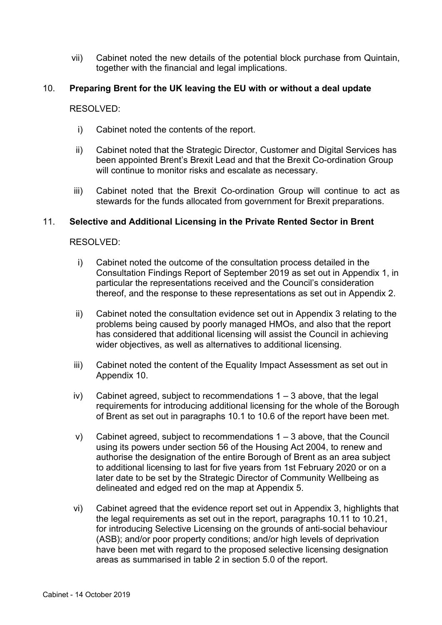vii) Cabinet noted the new details of the potential block purchase from Quintain, together with the financial and legal implications.

## 10. **Preparing Brent for the UK leaving the EU with or without a deal update**

RESOLVED:

- i) Cabinet noted the contents of the report.
- ii) Cabinet noted that the Strategic Director, Customer and Digital Services has been appointed Brent's Brexit Lead and that the Brexit Co-ordination Group will continue to monitor risks and escalate as necessary.
- iii) Cabinet noted that the Brexit Co-ordination Group will continue to act as stewards for the funds allocated from government for Brexit preparations.

#### 11. **Selective and Additional Licensing in the Private Rented Sector in Brent**

#### RESOLVED:

- i) Cabinet noted the outcome of the consultation process detailed in the Consultation Findings Report of September 2019 as set out in Appendix 1, in particular the representations received and the Council's consideration thereof, and the response to these representations as set out in Appendix 2.
- ii) Cabinet noted the consultation evidence set out in Appendix 3 relating to the problems being caused by poorly managed HMOs, and also that the report has considered that additional licensing will assist the Council in achieving wider objectives, as well as alternatives to additional licensing.
- iii) Cabinet noted the content of the Equality Impact Assessment as set out in Appendix 10.
- iv) Cabinet agreed, subject to recommendations  $1 3$  above, that the legal requirements for introducing additional licensing for the whole of the Borough of Brent as set out in paragraphs 10.1 to 10.6 of the report have been met.
- v) Cabinet agreed, subject to recommendations  $1 3$  above, that the Council using its powers under section 56 of the Housing Act 2004, to renew and authorise the designation of the entire Borough of Brent as an area subject to additional licensing to last for five years from 1st February 2020 or on a later date to be set by the Strategic Director of Community Wellbeing as delineated and edged red on the map at Appendix 5.
- vi) Cabinet agreed that the evidence report set out in Appendix 3, highlights that the legal requirements as set out in the report, paragraphs 10.11 to 10.21, for introducing Selective Licensing on the grounds of anti-social behaviour (ASB); and/or poor property conditions; and/or high levels of deprivation have been met with regard to the proposed selective licensing designation areas as summarised in table 2 in section 5.0 of the report.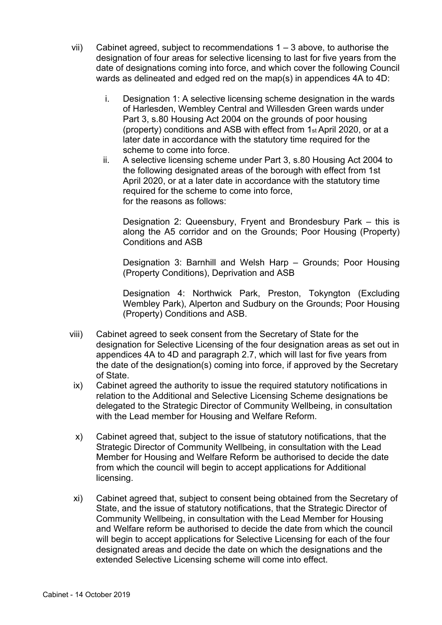- vii) Cabinet agreed, subject to recommendations  $1 3$  above, to authorise the designation of four areas for selective licensing to last for five years from the date of designations coming into force, and which cover the following Council wards as delineated and edged red on the map(s) in appendices 4A to 4D:
	- i. Designation 1: A selective licensing scheme designation in the wards of Harlesden, Wembley Central and Willesden Green wards under Part 3, s.80 Housing Act 2004 on the grounds of poor housing (property) conditions and ASB with effect from 1st April 2020, or at a later date in accordance with the statutory time required for the scheme to come into force.
	- ii. A selective licensing scheme under Part 3, s.80 Housing Act 2004 to the following designated areas of the borough with effect from 1st April 2020, or at a later date in accordance with the statutory time required for the scheme to come into force, for the reasons as follows:

Designation 2: Queensbury, Fryent and Brondesbury Park – this is along the A5 corridor and on the Grounds; Poor Housing (Property) Conditions and ASB

Designation 3: Barnhill and Welsh Harp – Grounds; Poor Housing (Property Conditions), Deprivation and ASB

Designation 4: Northwick Park, Preston, Tokyngton (Excluding Wembley Park), Alperton and Sudbury on the Grounds; Poor Housing (Property) Conditions and ASB.

- viii) Cabinet agreed to seek consent from the Secretary of State for the designation for Selective Licensing of the four designation areas as set out in appendices 4A to 4D and paragraph 2.7, which will last for five years from the date of the designation(s) coming into force, if approved by the Secretary of State.
- ix) Cabinet agreed the authority to issue the required statutory notifications in relation to the Additional and Selective Licensing Scheme designations be delegated to the Strategic Director of Community Wellbeing, in consultation with the Lead member for Housing and Welfare Reform.
- x) Cabinet agreed that, subject to the issue of statutory notifications, that the Strategic Director of Community Wellbeing, in consultation with the Lead Member for Housing and Welfare Reform be authorised to decide the date from which the council will begin to accept applications for Additional licensing.
- xi) Cabinet agreed that, subject to consent being obtained from the Secretary of State, and the issue of statutory notifications, that the Strategic Director of Community Wellbeing, in consultation with the Lead Member for Housing and Welfare reform be authorised to decide the date from which the council will begin to accept applications for Selective Licensing for each of the four designated areas and decide the date on which the designations and the extended Selective Licensing scheme will come into effect.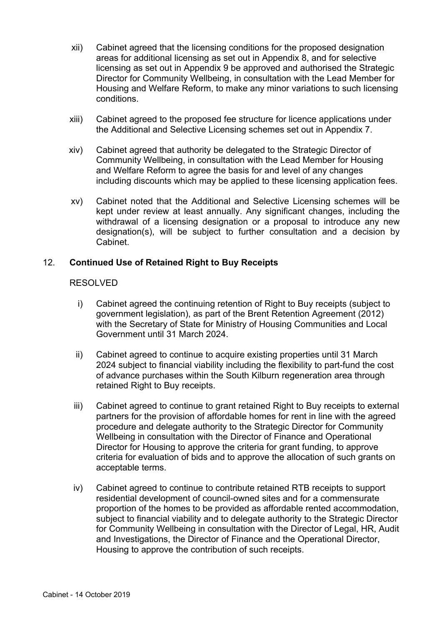- xii) Cabinet agreed that the licensing conditions for the proposed designation areas for additional licensing as set out in Appendix 8, and for selective licensing as set out in Appendix 9 be approved and authorised the Strategic Director for Community Wellbeing, in consultation with the Lead Member for Housing and Welfare Reform, to make any minor variations to such licensing conditions.
- xiii) Cabinet agreed to the proposed fee structure for licence applications under the Additional and Selective Licensing schemes set out in Appendix 7.
- xiv) Cabinet agreed that authority be delegated to the Strategic Director of Community Wellbeing, in consultation with the Lead Member for Housing and Welfare Reform to agree the basis for and level of any changes including discounts which may be applied to these licensing application fees.
- xv) Cabinet noted that the Additional and Selective Licensing schemes will be kept under review at least annually. Any significant changes, including the withdrawal of a licensing designation or a proposal to introduce any new designation(s), will be subject to further consultation and a decision by Cabinet.

## 12. **Continued Use of Retained Right to Buy Receipts**

## RESOLVED

- i) Cabinet agreed the continuing retention of Right to Buy receipts (subject to government legislation), as part of the Brent Retention Agreement (2012) with the Secretary of State for Ministry of Housing Communities and Local Government until 31 March 2024.
- ii) Cabinet agreed to continue to acquire existing properties until 31 March 2024 subject to financial viability including the flexibility to part-fund the cost of advance purchases within the South Kilburn regeneration area through retained Right to Buy receipts.
- iii) Cabinet agreed to continue to grant retained Right to Buy receipts to external partners for the provision of affordable homes for rent in line with the agreed procedure and delegate authority to the Strategic Director for Community Wellbeing in consultation with the Director of Finance and Operational Director for Housing to approve the criteria for grant funding, to approve criteria for evaluation of bids and to approve the allocation of such grants on acceptable terms.
- iv) Cabinet agreed to continue to contribute retained RTB receipts to support residential development of council-owned sites and for a commensurate proportion of the homes to be provided as affordable rented accommodation, subject to financial viability and to delegate authority to the Strategic Director for Community Wellbeing in consultation with the Director of Legal, HR, Audit and Investigations, the Director of Finance and the Operational Director, Housing to approve the contribution of such receipts.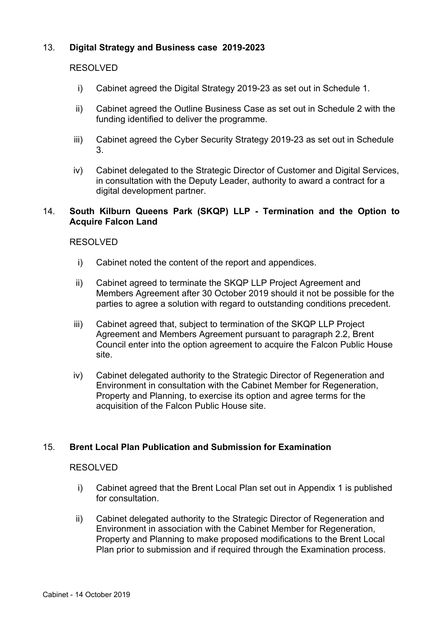# 13. **Digital Strategy and Business case 2019-2023**

#### RESOLVED

- i) Cabinet agreed the Digital Strategy 2019-23 as set out in Schedule 1.
- ii) Cabinet agreed the Outline Business Case as set out in Schedule 2 with the funding identified to deliver the programme.
- iii) Cabinet agreed the Cyber Security Strategy 2019-23 as set out in Schedule 3.
- iv) Cabinet delegated to the Strategic Director of Customer and Digital Services, in consultation with the Deputy Leader, authority to award a contract for a digital development partner.

## 14. **South Kilburn Queens Park (SKQP) LLP - Termination and the Option to Acquire Falcon Land**

## RESOLVED

- i) Cabinet noted the content of the report and appendices.
- ii) Cabinet agreed to terminate the SKQP LLP Project Agreement and Members Agreement after 30 October 2019 should it not be possible for the parties to agree a solution with regard to outstanding conditions precedent.
- iii) Cabinet agreed that, subject to termination of the SKQP LLP Project Agreement and Members Agreement pursuant to paragraph 2.2, Brent Council enter into the option agreement to acquire the Falcon Public House site.
- iv) Cabinet delegated authority to the Strategic Director of Regeneration and Environment in consultation with the Cabinet Member for Regeneration, Property and Planning, to exercise its option and agree terms for the acquisition of the Falcon Public House site.

## 15. **Brent Local Plan Publication and Submission for Examination**

#### RESOLVED

- i) Cabinet agreed that the Brent Local Plan set out in Appendix 1 is published for consultation.
- ii) Cabinet delegated authority to the Strategic Director of Regeneration and Environment in association with the Cabinet Member for Regeneration, Property and Planning to make proposed modifications to the Brent Local Plan prior to submission and if required through the Examination process.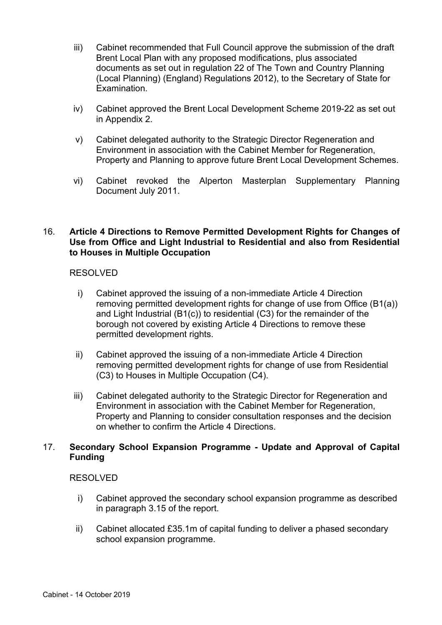- iii) Cabinet recommended that Full Council approve the submission of the draft Brent Local Plan with any proposed modifications, plus associated documents as set out in regulation 22 of The Town and Country Planning (Local Planning) (England) Regulations 2012), to the Secretary of State for Examination.
- iv) Cabinet approved the Brent Local Development Scheme 2019-22 as set out in Appendix 2.
- v) Cabinet delegated authority to the Strategic Director Regeneration and Environment in association with the Cabinet Member for Regeneration, Property and Planning to approve future Brent Local Development Schemes.
- vi) Cabinet revoked the Alperton Masterplan Supplementary Planning Document July 2011.

## 16. **Article 4 Directions to Remove Permitted Development Rights for Changes of Use from Office and Light Industrial to Residential and also from Residential to Houses in Multiple Occupation**

## RESOLVED

- i) Cabinet approved the issuing of a non-immediate Article 4 Direction removing permitted development rights for change of use from Office (B1(a)) and Light Industrial (B1(c)) to residential (C3) for the remainder of the borough not covered by existing Article 4 Directions to remove these permitted development rights.
- ii) Cabinet approved the issuing of a non-immediate Article 4 Direction removing permitted development rights for change of use from Residential (C3) to Houses in Multiple Occupation (C4).
- iii) Cabinet delegated authority to the Strategic Director for Regeneration and Environment in association with the Cabinet Member for Regeneration, Property and Planning to consider consultation responses and the decision on whether to confirm the Article 4 Directions.

# 17. **Secondary School Expansion Programme - Update and Approval of Capital Funding**

## RESOLVED

- i) Cabinet approved the secondary school expansion programme as described in paragraph 3.15 of the report.
- ii) Cabinet allocated £35.1m of capital funding to deliver a phased secondary school expansion programme.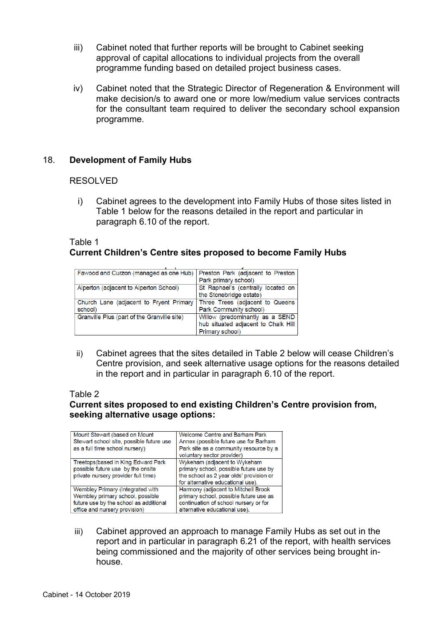- iii) Cabinet noted that further reports will be brought to Cabinet seeking approval of capital allocations to individual projects from the overall programme funding based on detailed project business cases.
- iv) Cabinet noted that the Strategic Director of Regeneration & Environment will make decision/s to award one or more low/medium value services contracts for the consultant team required to deliver the secondary school expansion programme.

# 18. **Development of Family Hubs**

#### RESOLVED

i) Cabinet agrees to the development into Family Hubs of those sites listed in Table 1 below for the reasons detailed in the report and particular in paragraph 6.10 of the report.

# Table 1 **Current Children's Centre sites proposed to become Family Hubs**

| Fawood and Curzon (managed as one Hub)      | Preston Park (adjacent to Preston   |
|---------------------------------------------|-------------------------------------|
|                                             | Park primary school)                |
| Alperton (adjacent to Alperton School)      | St Raphael's (centrally located on  |
|                                             | the Stonebridge estate)             |
| Church Lane (adjacent to Fryent Primary     | Three Trees (adjacent to Queens     |
| school)                                     | Park Community school)              |
| Granville Plus (part of the Granville site) | Willow (predominantly as a SEND     |
|                                             | hub situated adjacent to Chalk Hill |
|                                             | Primary school)                     |

ii) Cabinet agrees that the sites detailed in Table 2 below will cease Children's Centre provision, and seek alternative usage options for the reasons detailed in the report and in particular in paragraph 6.10 of the report.

#### Table 2

# **Current sites proposed to end existing Children's Centre provision from, seeking alternative usage options:**

| Mount Stewart (based on Mount<br>Stewart school site, possible future use<br>as a full time school nursery)                                     | Welcome Centre and Barham Park<br>Annex (possible future use for Barham<br>Park site as a community resource by a<br>voluntary sector provider)         |
|-------------------------------------------------------------------------------------------------------------------------------------------------|---------------------------------------------------------------------------------------------------------------------------------------------------------|
| Treetops (based in King Edward Park<br>possible future use by the onsite<br>private nursery provider full time)                                 | Wykeham (adjacent to Wykeham<br>primary school, possible future use by<br>the school as 2 year olds' provision or<br>for alternative educational use).  |
| Wembley Primary (Integrated with<br>Wembley primary school, possible<br>future use by the school as additional<br>office and nursery provision) | Harmony (adjacent to Mitchell Brook<br>primary school, possible future use as<br>continuation of school nursery or for<br>alternative educational use). |

iii) Cabinet approved an approach to manage Family Hubs as set out in the report and in particular in paragraph 6.21 of the report, with health services being commissioned and the majority of other services being brought inhouse.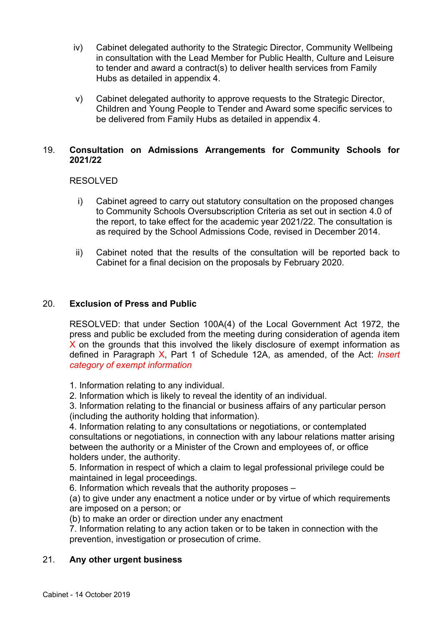- iv) Cabinet delegated authority to the Strategic Director, Community Wellbeing in consultation with the Lead Member for Public Health, Culture and Leisure to tender and award a contract(s) to deliver health services from Family Hubs as detailed in appendix 4.
- v) Cabinet delegated authority to approve requests to the Strategic Director, Children and Young People to Tender and Award some specific services to be delivered from Family Hubs as detailed in appendix 4.

# 19. **Consultation on Admissions Arrangements for Community Schools for 2021/22**

# RESOLVED

- i) Cabinet agreed to carry out statutory consultation on the proposed changes to Community Schools Oversubscription Criteria as set out in section 4.0 of the report, to take effect for the academic year 2021/22. The consultation is as required by the School Admissions Code, revised in December 2014.
- ii) Cabinet noted that the results of the consultation will be reported back to Cabinet for a final decision on the proposals by February 2020.

# 20. **Exclusion of Press and Public**

RESOLVED: that under Section 100A(4) of the Local Government Act 1972, the press and public be excluded from the meeting during consideration of agenda item X on the grounds that this involved the likely disclosure of exempt information as defined in Paragraph X, Part 1 of Schedule 12A, as amended, of the Act: *Insert category of exempt information*

1. Information relating to any individual.

2. Information which is likely to reveal the identity of an individual.

3. Information relating to the financial or business affairs of any particular person (including the authority holding that information).

4. Information relating to any consultations or negotiations, or contemplated consultations or negotiations, in connection with any labour relations matter arising between the authority or a Minister of the Crown and employees of, or office holders under, the authority.

5. Information in respect of which a claim to legal professional privilege could be maintained in legal proceedings.

6. Information which reveals that the authority proposes –

(a) to give under any enactment a notice under or by virtue of which requirements are imposed on a person; or

(b) to make an order or direction under any enactment

7. Information relating to any action taken or to be taken in connection with the prevention, investigation or prosecution of crime.

## 21. **Any other urgent business**